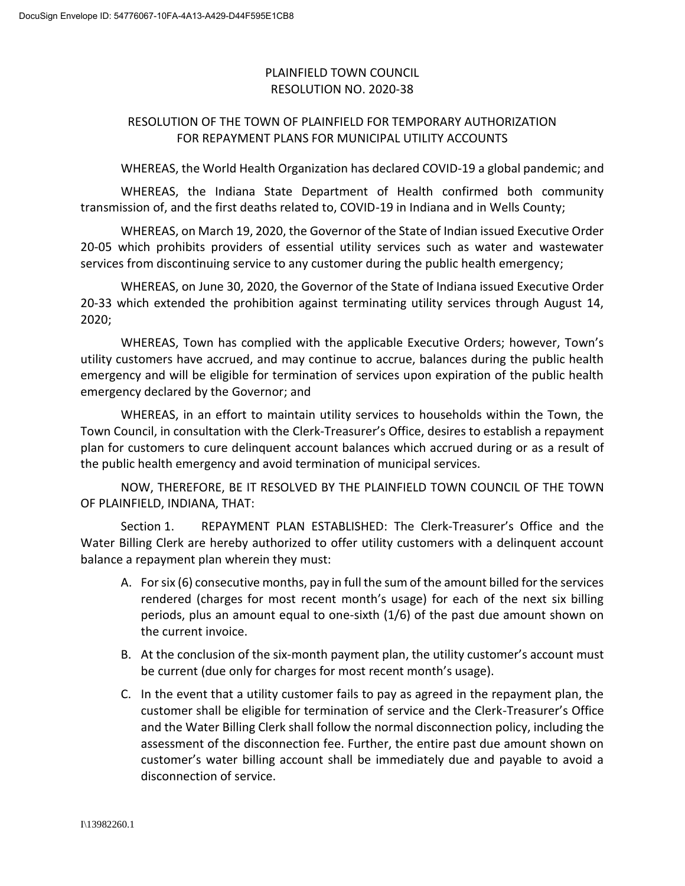## PLAINFIELD TOWN COUNCIL RESOLUTION NO. 2020-38

## RESOLUTION OF THE TOWN OF PLAINFIELD FOR TEMPORARY AUTHORIZATION FOR REPAYMENT PLANS FOR MUNICIPAL UTILITY ACCOUNTS

WHEREAS, the World Health Organization has declared COVID-19 a global pandemic; and

WHEREAS, the Indiana State Department of Health confirmed both community transmission of, and the first deaths related to, COVID-19 in Indiana and in Wells County;

WHEREAS, on March 19, 2020, the Governor of the State of Indian issued Executive Order 20-05 which prohibits providers of essential utility services such as water and wastewater services from discontinuing service to any customer during the public health emergency;

WHEREAS, on June 30, 2020, the Governor of the State of Indiana issued Executive Order 20-33 which extended the prohibition against terminating utility services through August 14, 2020;

WHEREAS, Town has complied with the applicable Executive Orders; however, Town's utility customers have accrued, and may continue to accrue, balances during the public health emergency and will be eligible for termination of services upon expiration of the public health emergency declared by the Governor; and

WHEREAS, in an effort to maintain utility services to households within the Town, the Town Council, in consultation with the Clerk-Treasurer's Office, desires to establish a repayment plan for customers to cure delinquent account balances which accrued during or as a result of the public health emergency and avoid termination of municipal services.

NOW, THEREFORE, BE IT RESOLVED BY THE PLAINFIELD TOWN COUNCIL OF THE TOWN OF PLAINFIELD, INDIANA, THAT:

Section 1. REPAYMENT PLAN ESTABLISHED: The Clerk-Treasurer's Office and the Water Billing Clerk are hereby authorized to offer utility customers with a delinquent account balance a repayment plan wherein they must:

- A. For six (6) consecutive months, pay in full the sum of the amount billed for the services rendered (charges for most recent month's usage) for each of the next six billing periods, plus an amount equal to one-sixth (1/6) of the past due amount shown on the current invoice.
- B. At the conclusion of the six-month payment plan, the utility customer's account must be current (due only for charges for most recent month's usage).
- C. In the event that a utility customer fails to pay as agreed in the repayment plan, the customer shall be eligible for termination of service and the Clerk-Treasurer's Office and the Water Billing Clerk shall follow the normal disconnection policy, including the assessment of the disconnection fee. Further, the entire past due amount shown on customer's water billing account shall be immediately due and payable to avoid a disconnection of service.